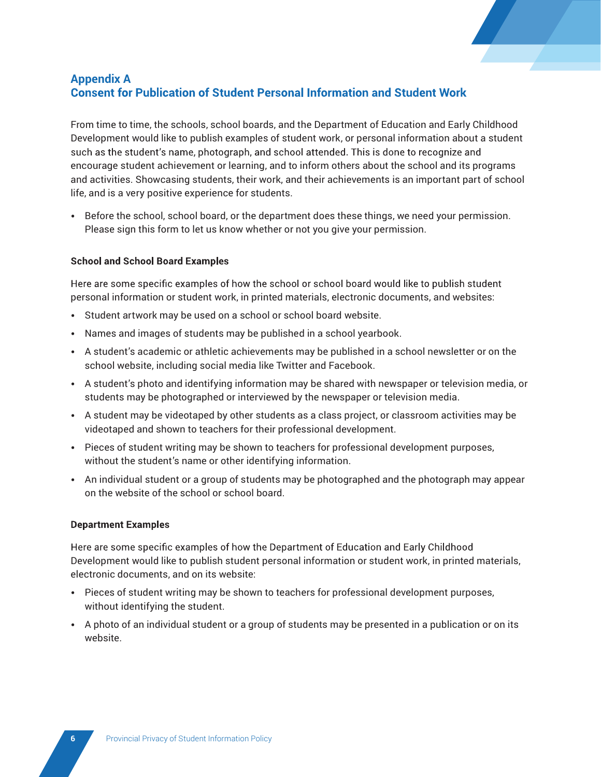

## Appendix A<br>Consent for Publication of Student Personal Information and Student Work

From time to time, the schools, school boards, and the Department of Education and Early Childhood Development would like to publish examples of student work, or personal information about a student such as the student's name, photograph, and school attended. This is done to recognize and encourage student achievement or learning, and to inform others about the school and its programs and activities. Showcasing students, their work, and their achievements is an important part of school life, and is a very positive experience for students.

• Before the school, school board, or the department does these things, we need your permission. Please sign this form to let us know whether or not you give your permission.

## **School and School Board Examples**

Here are some specific examples of how the school or school board would like to publish student personal information or student work, in printed materials, electronic documents, and websites:

- Student artwork may be used on a school or school board website.
- Names and images of students may be published in a school yearbook.
- A student's academic or athletic achievements may be published in a school newsletter or on the school website, including social media like Twitter and Facebook.
- A student's photo and identifying information may be shared with newspaper or television media, or students may be photographed or interviewed by the newspaper or television media.
- A student may be videotaped by other students as a class project, or classroom activities may be videotaped and shown to teachers for their professional development.
- Pieces of student writing may be shown to teachers for professional development purposes, without the student's name or other identifying information.
- An individual student or a group of students may be photographed and the photograph may appear on the website of the school or school board.

## **Department Examples**

Here are some specific examples of how the Department of Education and Early Childhood Development would like to publish student personal information or student work, in printed materials, electronic documents, and on its website:

- Pieces of student writing may be shown to teachers for professional development purposes, without identifying the student.
- A photo of an individual student or a group of students may be presented in a publication or on its website.